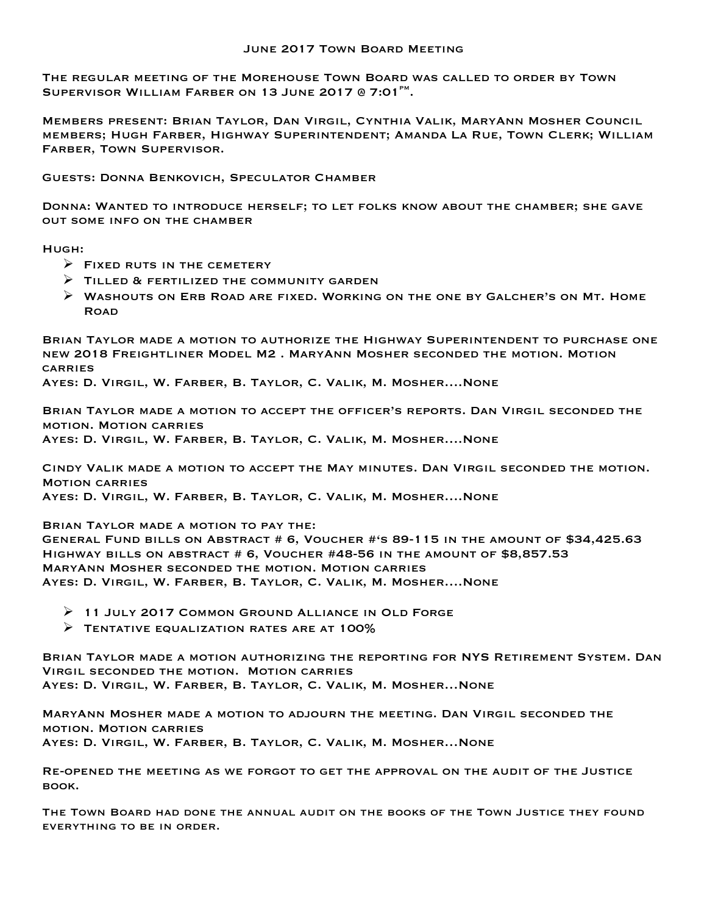The regular meeting of the Morehouse Town Board was called to order by Town SUPERVISOR WILLIAM FARBER ON 13 JUNE 2017 @ 7:01 $^{\text{PM}}$ .

Members present: Brian Taylor, Dan Virgil, Cynthia Valik, MaryAnn Mosher Council members; Hugh Farber, Highway Superintendent; Amanda La Rue, Town Clerk; William Farber, Town Supervisor.

Guests: Donna Benkovich, Speculator Chamber

Donna: Wanted to introduce herself; to let folks know about the chamber; she gave out some info on the chamber

Hugh:

- $\triangleright$  FIXED RUTS IN THE CEMETERY
- $\triangleright$  TILLED & FERTILIZED THE COMMUNITY GARDEN
- $\triangleright$  Washouts on ERB ROAD ARE FIXED. WORKING ON THE ONE BY GALCHER'S ON MT. HOME **ROAD**

Brian Taylor made a motion to authorize the Highway Superintendent to purchase one new 2018 Freightliner Model M2 . MaryAnn Mosher seconded the motion. Motion **CARRIES** 

Ayes: D. Virgil, W. Farber, B. Taylor, C. Valik, M. Mosher….None

Brian Taylor made a motion to accept the officer's reports. Dan Virgil seconded the motion. Motion carries Ayes: D. Virgil, W. Farber, B. Taylor, C. Valik, M. Mosher….None

Cindy Valik made a motion to accept the May minutes. Dan Virgil seconded the motion. Motion carries Ayes: D. Virgil, W. Farber, B. Taylor, C. Valik, M. Mosher….None

Brian Taylor made a motion to pay the:

General Fund bills on Abstract # 6, Voucher #'s 89-115 in the amount of \$34,425.63 Highway bills on abstract # 6, Voucher #48-56 in the amount of \$8,857.53 MaryAnn Mosher seconded the motion. Motion carries Ayes: D. Virgil, W. Farber, B. Taylor, C. Valik, M. Mosher….None

- Ø 11 July 2017 Common Ground Alliance in Old Forge
- $\triangleright$  TENTATIVE EQUALIZATION RATES ARE AT 100%

Brian Taylor made a motion authorizing the reporting for NYS Retirement System. Dan Virgil seconded the motion. Motion carries Ayes: D. Virgil, W. Farber, B. Taylor, C. Valik, M. Mosher…None

MaryAnn Mosher made a motion to adjourn the meeting. Dan Virgil seconded the motion. Motion carries Ayes: D. Virgil, W. Farber, B. Taylor, C. Valik, M. Mosher…None

Re-opened the meeting as we forgot to get the approval on the audit of the Justice book.

The Town Board had done the annual audit on the books of the Town Justice they found everything to be in order.